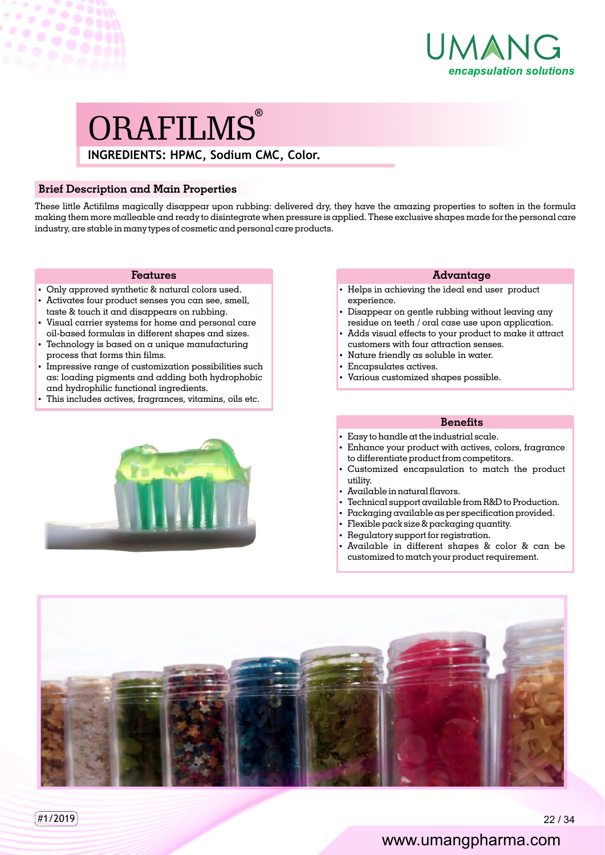

# **INGREDIENTS: HPMC, Sodium CMC, Color.**  ORAFILMS®

## **Brief Description and Main Properties**

 $\mathcal{L} \times \mathcal{L}$ 

 $\hat{\mathcal{Q}}$ 

These little Actifilms magically disappear upon rubbing: delivered dry, they have the amazing properties to soften in the formula making them more malleable and ready to disintegrate when pressure is applied. These exclusive shapes made for the personal care industry, are stable in many types of cosmetic and personal care products.

#### **Features**

- Only approved synthetic & natural colors used.
- Activates four product senses you can see, smell, taste & touch it and disappears on rubbing.
- Visual carrier systems for home and personal care oil-based formulas in different shapes and sizes.
- $\cdot$  Technology is based on a unique manufacturing process that forms thin films.
- Impressive range of customization possibilities such as: loading pigments and adding both hydrophobic and hydrophilic functional ingredients.
- This includes actives, fragrances, vitamins, oils etc.



#### **Advantage**

- Helps in achieving the ideal end user product experience.
- Disappear on gentle rubbing without leaving any residue on teeth / oral case use upon application.
- Adds visual effects to your product to make it attract customers with four attraction senses.
- Nature friendly as soluble in water.
- $\cdot$  Encapsulates actives.
- Various customized shapes possible.

### **Benets**

- $\cdot$  Easy to handle at the industrial scale.
- Enhance your product with actives, colors, fragrance to differentiate product from competitors.
- Customized encapsulation to match the product utility.
- $\cdot$  Available in natural flavors.
- Technical support available from R&D to Production.
- Packaging available as per specification provided.
- $\cdot$  Flexible pack size & packaging quantity.
- Regulatory support for registration.
- Available in different shapes & color & can be customized to match your product requirement.